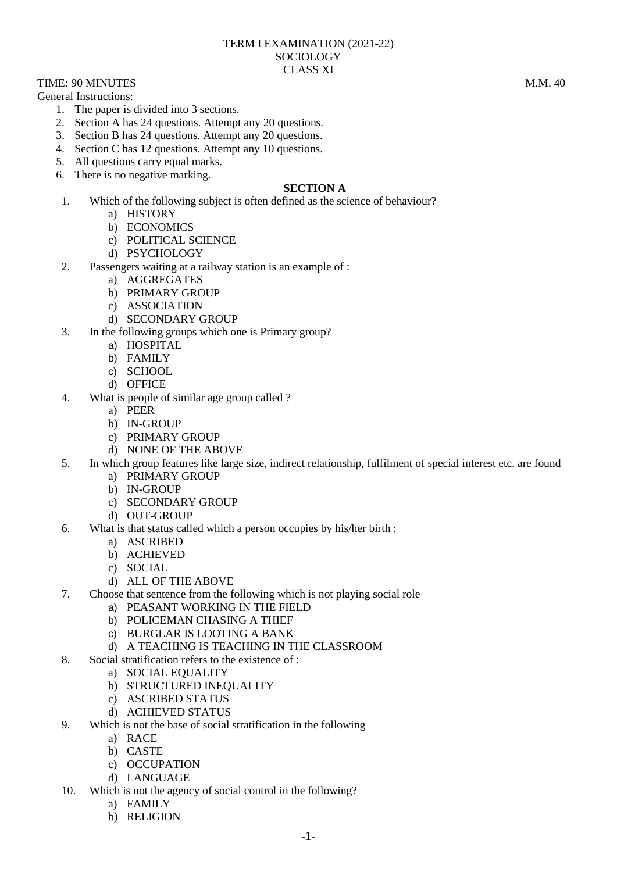## TERM I EXAMINATION (2021-22) **SOCIOLOGY** CLASS XI

TIME: 90 MINUTES M.M. 40 General Instructions:

- 1. The paper is divided into 3 sections.
- 2. Section A has 24 questions. Attempt any 20 questions.
- 3. Section B has 24 questions. Attempt any 20 questions.
- 4. Section C has 12 questions. Attempt any 10 questions.
- 5. All questions carry equal marks.
- 6. There is no negative marking.

## **SECTION A**

- 1. Which of the following subject is often defined as the science of behaviour?
	- a) HISTORY
	- b) ECONOMICS
	- c) POLITICAL SCIENCE
	- d) PSYCHOLOGY
- 2. Passengers waiting at a railway station is an example of :
	- a) AGGREGATES
	- b) PRIMARY GROUP
	- c) ASSOCIATION
	- d) SECONDARY GROUP
- 3. In the following groups which one is Primary group?
	- a) HOSPITAL
	- b) FAMILY
	- c) SCHOOL
	- d) OFFICE
- 4. What is people of similar age group called ?
	- a) PEER
	- b) IN-GROUP
	- c) PRIMARY GROUP
	- d) NONE OF THE ABOVE
- 5. In which group features like large size, indirect relationship, fulfilment of special interest etc. are found
	- a) PRIMARY GROUP
	- b) IN-GROUP
	- c) SECONDARY GROUP
	- d) OUT-GROUP
- 6. What is that status called which a person occupies by his/her birth :
	- a) ASCRIBED
	- b) ACHIEVED
	- c) SOCIAL
	- d) ALL OF THE ABOVE
- 7. Choose that sentence from the following which is not playing social role
	- a) PEASANT WORKING IN THE FIELD
	- b) POLICEMAN CHASING A THIEF
	- c) BURGLAR IS LOOTING A BANK
	- d) A TEACHING IS TEACHING IN THE CLASSROOM
- 8. Social stratification refers to the existence of :
	- a) SOCIAL EQUALITY
	- b) STRUCTURED INEQUALITY
	- c) ASCRIBED STATUS
	- d) ACHIEVED STATUS
- 9. Which is not the base of social stratification in the following
	- a) RACE
	- b) CASTE
	- c) OCCUPATION
	- d) LANGUAGE
- 10. Which is not the agency of social control in the following?
	- a) FAMILY
	- b) RELIGION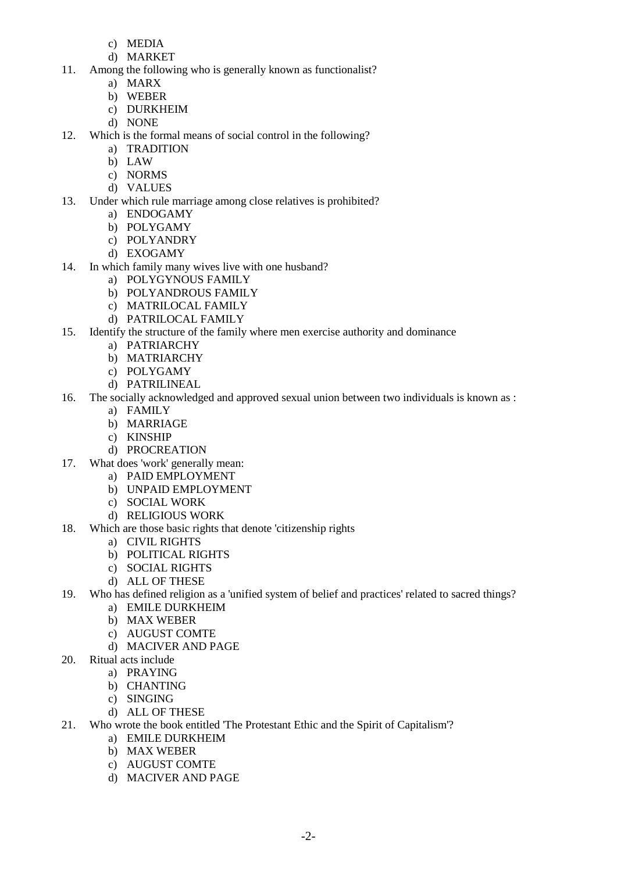- c) MEDIA
- d) MARKET
- 11. Among the following who is generally known as functionalist?
	- a) MARX
	- b) WEBER
	- c) DURKHEIM
	- d) NONE
- 12. Which is the formal means of social control in the following?
	- a) TRADITION
	- b) LAW
	- c) NORMS
	- d) VALUES
- 13. Under which rule marriage among close relatives is prohibited?
	- a) ENDOGAMY
	- b) POLYGAMY
	- c) POLYANDRY
	- d) EXOGAMY
- 14. In which family many wives live with one husband?
	- a) POLYGYNOUS FAMILY
	- b) POLYANDROUS FAMILY
	- c) MATRILOCAL FAMILY
	- d) PATRILOCAL FAMILY
- 15. Identify the structure of the family where men exercise authority and dominance
	- a) PATRIARCHY
	- b) MATRIARCHY
	- c) POLYGAMY
	- d) PATRILINEAL
- 16. The socially acknowledged and approved sexual union between two individuals is known as :
	- a) FAMILY
	- b) MARRIAGE
	- c) KINSHIP
	- d) PROCREATION
- 17. What does 'work' generally mean:
	- a) PAID EMPLOYMENT
	- b) UNPAID EMPLOYMENT
	- c) SOCIAL WORK
	- d) RELIGIOUS WORK
- 18. Which are those basic rights that denote 'citizenship rights
	- a) CIVIL RIGHTS
	- b) POLITICAL RIGHTS
	- c) SOCIAL RIGHTS
	- d) ALL OF THESE
- 19. Who has defined religion as a 'unified system of belief and practices' related to sacred things?
	- a) EMILE DURKHEIM
	- b) MAX WEBER
	- c) AUGUST COMTE
	- d) MACIVER AND PAGE
- 20. Ritual acts include
	- a) PRAYING
	- b) CHANTING
	- c) SINGING
	- d) ALL OF THESE
- 21. Who wrote the book entitled 'The Protestant Ethic and the Spirit of Capitalism'?
	- a) EMILE DURKHEIM
	- b) MAX WEBER
	- c) AUGUST COMTE
	- d) MACIVER AND PAGE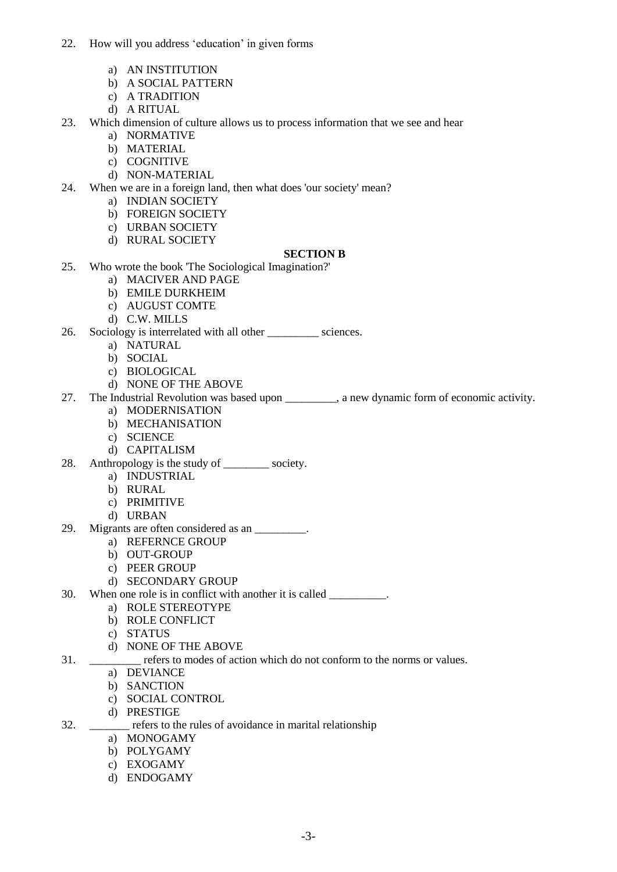- 22. How will you address "education" in given forms
	- a) AN INSTITUTION
	- b) A SOCIAL PATTERN
	- c) A TRADITION
	- d) A RITUAL
- 23. Which dimension of culture allows us to process information that we see and hear
	- a) NORMATIVE
	- b) MATERIAL
	- c) COGNITIVE
	- d) NON-MATERIAL
- 24. When we are in a foreign land, then what does 'our society' mean?
	- a) INDIAN SOCIETY
	- b) FOREIGN SOCIETY
	- c) URBAN SOCIETY
	- d) RURAL SOCIETY

## **SECTION B**

- 25. Who wrote the book 'The Sociological Imagination?'
	- a) MACIVER AND PAGE
	- b) EMILE DURKHEIM
	- c) AUGUST COMTE
	- d) C.W. MILLS
- 26. Sociology is interrelated with all other \_\_\_\_\_\_\_\_\_ sciences.
	- a) NATURAL
	- b) SOCIAL
	- c) BIOLOGICAL
	- d) NONE OF THE ABOVE
- 27. The Industrial Revolution was based upon \_\_\_\_\_\_\_\_\_, a new dynamic form of economic activity.
	- a) MODERNISATION
		- b) MECHANISATION
		- c) SCIENCE
		- d) CAPITALISM
- 28. Anthropology is the study of \_\_\_\_\_\_\_\_\_ society.
	- a) INDUSTRIAL
	- b) RURAL
	- c) PRIMITIVE
	- d) URBAN
- 29. Migrants are often considered as an \_\_\_\_\_\_\_\_\_.
	- a) REFERNCE GROUP
	- b) OUT-GROUP
	- c) PEER GROUP
	- d) SECONDARY GROUP
- 30. When one role is in conflict with another it is called \_\_\_\_\_\_\_\_\_.
	- a) ROLE STEREOTYPE
	- b) ROLE CONFLICT
	- c) STATUS
	- d) NONE OF THE ABOVE
- 31. \_\_\_\_\_\_\_\_\_ refers to modes of action which do not conform to the norms or values.
	- a) DEVIANCE
	- b) SANCTION
	- c) SOCIAL CONTROL
	- d) PRESTIGE
- 32. \_\_\_\_\_\_\_ refers to the rules of avoidance in marital relationship
	- a) MONOGAMY
	- b) POLYGAMY
	- c) EXOGAMY
	- d) ENDOGAMY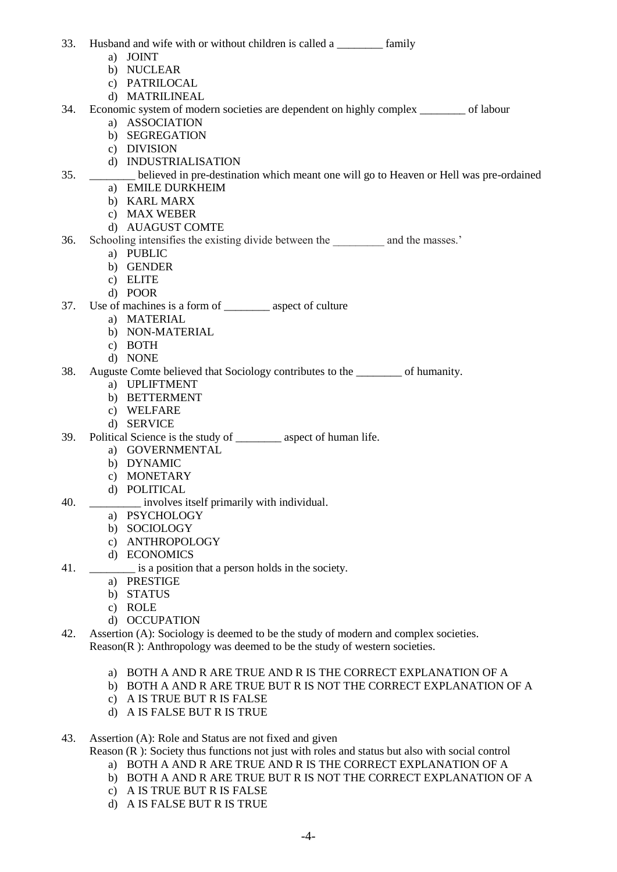- 33. Husband and wife with or without children is called a samily
	- a) JOINT
	- b) NUCLEAR
	- c) PATRILOCAL
	- d) MATRILINEAL
- 34. Economic system of modern societies are dependent on highly complex \_\_\_\_\_\_\_\_ of labour a) ASSOCIATION
	- b) SEGREGATION
	- c) DIVISION
	- d) INDUSTRIALISATION
- 35. \_\_\_\_\_\_\_\_ believed in pre-destination which meant one will go to Heaven or Hell was pre-ordained
	- a) EMILE DURKHEIM
	- b) KARL MARX
	- c) MAX WEBER
	- d) AUAGUST COMTE
- 36. Schooling intensifies the existing divide between the and the masses.'
	- a) PUBLIC
	- b) GENDER
	- c) ELITE
	- d) POOR
- 37. Use of machines is a form of \_\_\_\_\_\_\_\_ aspect of culture
	- a) MATERIAL
	- b) NON-MATERIAL
	- c) BOTH
	- d) NONE
- 38. Auguste Comte believed that Sociology contributes to the \_\_\_\_\_\_\_\_ of humanity.
	- a) UPLIFTMENT
	- b) BETTERMENT
	- c) WELFARE
	- d) SERVICE
- 39. Political Science is the study of aspect of human life.
	- a) GOVERNMENTAL
	- b) DYNAMIC
	- c) MONETARY
	- d) POLITICAL
- 40. **Example 10.** involves itself primarily with individual.
	- a) PSYCHOLOGY
	- b) SOCIOLOGY
	- c) ANTHROPOLOGY
	- d) ECONOMICS
- 41. \_\_\_\_\_\_\_\_\_\_ is a position that a person holds in the society.
	- a) PRESTIGE
	- b) STATUS
	- c) ROLE
	- d) OCCUPATION
- 42. Assertion (A): Sociology is deemed to be the study of modern and complex societies. Reason(R ): Anthropology was deemed to be the study of western societies.
	- a) BOTH A AND R ARE TRUE AND R IS THE CORRECT EXPLANATION OF A
	- b) BOTH A AND R ARE TRUE BUT R IS NOT THE CORRECT EXPLANATION OF A
	- c) A IS TRUE BUT R IS FALSE
	- d) A IS FALSE BUT R IS TRUE
- 43. Assertion (A): Role and Status are not fixed and given

Reason (R ): Society thus functions not just with roles and status but also with social control

- a) BOTH A AND R ARE TRUE AND R IS THE CORRECT EXPLANATION OF A
- b) BOTH A AND R ARE TRUE BUT R IS NOT THE CORRECT EXPLANATION OF A
- c) A IS TRUE BUT R IS FALSE
- d) A IS FALSE BUT R IS TRUE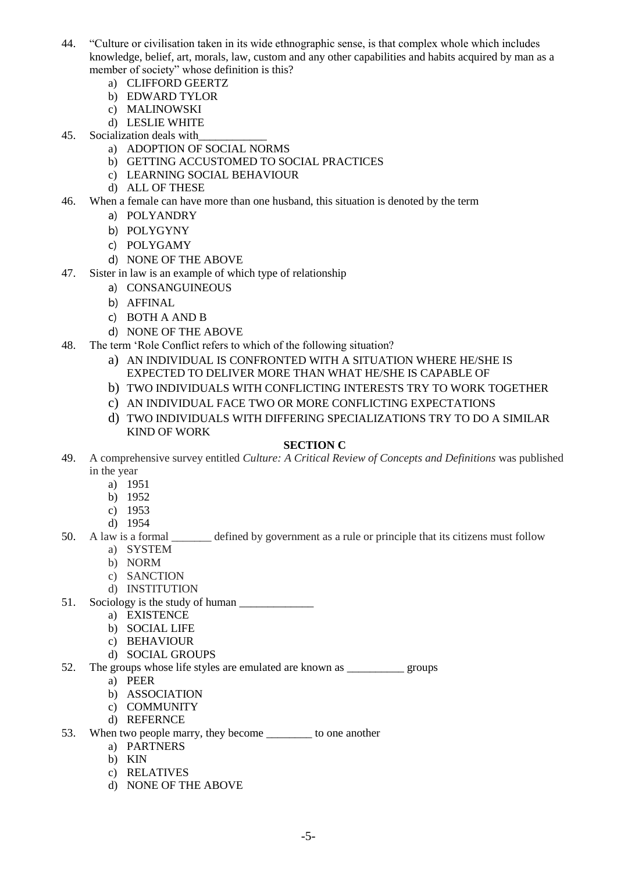- 44. "Culture or civilisation taken in its wide ethnographic sense, is that complex whole which includes knowledge, belief, art, morals, law, custom and any other capabilities and habits acquired by man as a member of society" whose definition is this?
	- a) CLIFFORD GEERTZ
	- b) EDWARD TYLOR
	- c) MALINOWSKI
	- d) LESLIE WHITE
- 45. Socialization deals with
	- a) ADOPTION OF SOCIAL NORMS
	- b) GETTING ACCUSTOMED TO SOCIAL PRACTICES
	- c) LEARNING SOCIAL BEHAVIOUR
	- d) ALL OF THESE
- 46. When a female can have more than one husband, this situation is denoted by the term
	- a) POLYANDRY
	- b) POLYGYNY
	- c) POLYGAMY
	- d) NONE OF THE ABOVE
- 47. Sister in law is an example of which type of relationship
	- a) CONSANGUINEOUS
	- b) AFFINAL
	- c) BOTH A AND B
	- d) NONE OF THE ABOVE
- 48. The term "Role Conflict refers to which of the following situation?
	- a) AN INDIVIDUAL IS CONFRONTED WITH A SITUATION WHERE HE/SHE IS EXPECTED TO DELIVER MORE THAN WHAT HE/SHE IS CAPABLE OF
	- b) TWO INDIVIDUALS WITH CONFLICTING INTERESTS TRY TO WORK TOGETHER
	- c) AN INDIVIDUAL FACE TWO OR MORE CONFLICTING EXPECTATIONS
	- d) TWO INDIVIDUALS WITH DIFFERING SPECIALIZATIONS TRY TO DO A SIMILAR KIND OF WORK

## **SECTION C**

- 49. A comprehensive survey entitled *Culture: A Critical Review of Concepts and Definitions* was published in the year
	- a) 1951
	- b) 1952
	- c) 1953
	- d) 1954
- 50. A law is a formal \_\_\_\_\_\_\_ defined by government as a rule or principle that its citizens must follow
	- a) SYSTEM
	- b) NORM
	- c) SANCTION
	- d) INSTITUTION
- 51. Sociology is the study of human
	- a) EXISTENCE
	- b) SOCIAL LIFE
	- c) BEHAVIOUR
	- d) SOCIAL GROUPS
- 52. The groups whose life styles are emulated are known as \_\_\_\_\_\_\_\_\_\_ groups
	- a) PEER
	- b) ASSOCIATION
	- c) COMMUNITY
	- d) REFERNCE
- 53. When two people marry, they become \_\_\_\_\_\_\_\_\_ to one another
	- a) PARTNERS
	- b) KIN
	- c) RELATIVES
	- d) NONE OF THE ABOVE